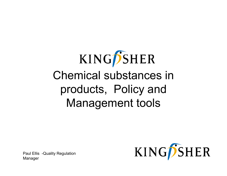# KINGPSHER Chemical substances in products, Policy and Management tools

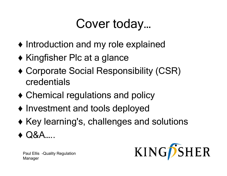### Cover today…

- ♦ Introduction and my role explained
- $\blacklozenge$  Kingfisher Plc at a glance
- ♦ Corporate Social Responsibility (CSR) credentials
- $\blacklozenge$  Chemical regulations and policy
- ♦ Investment and tools deployed
- $\blacklozenge$  Key learning's, challenges and solutions
- ♦Q&A…..

KINGPSHER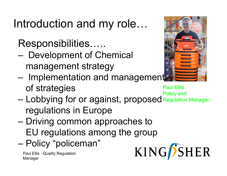Introduction and my role…

Responsibilities…..

- – Development of Chemical management strategy
- – $-$  Implementation and management of strategies Paul Ellis
- Lobbying for or against, proposed Policy and –— Lobbying for or against, proposed Regulation Manager regulations in Europe
- Driving common approaches to – EU regulations among the group
- Policy "policeman "–– Policy "policeman

Paul Ellis -Quality Regulation Manager



KINGPSHER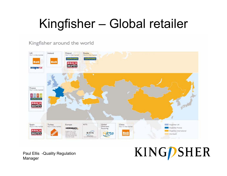# Kingfisher – Global retailer

Kingfisher around the world



Paul Ellis -Quality Regulation Manager

# **KINGPSHER**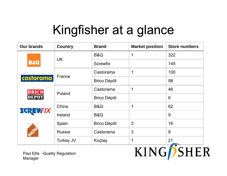### Kingfisher at <sup>a</sup> glance

| <b>Our brands</b>                          | <b>Country</b>   | <b>Brand</b>       | <b>Market position</b> | <b>Store numbers</b>      |
|--------------------------------------------|------------------|--------------------|------------------------|---------------------------|
| <b>B&amp;Q</b>                             | <b>UK</b>        | B&Q                | 1                      | 322                       |
|                                            |                  | <b>Screwfix</b>    |                        | 145                       |
| castorama                                  | France           | Castorama          | 1                      | 100                       |
|                                            |                  | <b>Brico Dépôt</b> |                        | 98                        |
| <b>BRICO</b><br>DEPOT                      | Poland           | Castorama          | 1                      | 46                        |
|                                            |                  | <b>Brico Dépôt</b> |                        | 6                         |
|                                            | China            | B&Q                | 1                      | 62                        |
| <b>SCREWFIX</b>                            | Ireland          | B&Q                |                        | 9                         |
|                                            | Spain            | <b>Brico Dépôt</b> | 3                      | 16                        |
|                                            | <b>Russia</b>    | Castorama          | 3                      | 8                         |
|                                            | <b>Turkey JV</b> | Koçtaş             | 1                      | 21                        |
| Paul Ellis - Quality Regulation<br>Manager |                  |                    |                        | <b>KING</b> <i>D</i> SHER |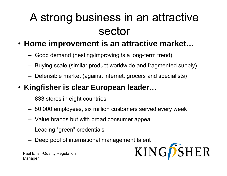#### A strong business in an attractive sector

#### • **Home improvement is an attractive market…**

- –– Good demand (nesting/improving is a long-term trend)
- –Buying scale (similar product worldwide and fragmented supply)
- –– Defensible market (against internet, grocers and specialists)

#### • **Kingfisher is clear European leader…**

- –833 stores in eight countries
- –80,000 employees, six million customers served every week
- – $-$  Value brands but with broad consumer appeal
- –Leading "green" credentials
- –Deep pool of international management talent

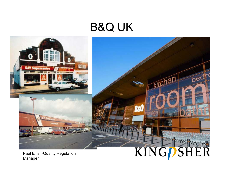#### B&Q UK

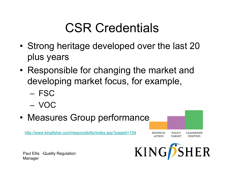### CSR Credentials

- • Strong heritage developed over the last 20 plus years
- • Responsible for changing the market and developing market focus, for example,
	- FSC
	- VOC
- Measures Grou p performance

http://www.kingfisher.com/responsibility/index.asp?pageid=154

Paul Ellis -Quality Regulation Manager



POLICY

**TARGET** 

**LEADERSHIP** 

**POSITION** 

MINIMUM

**ACTION**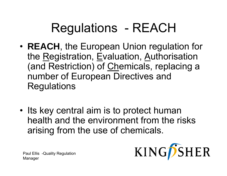### Regulations - REACH

- • **REACH**, the European Union regulation for the <u>R</u>egistration, <u>E</u>valuation, <u>A</u>uthorisation (and Restriction) of Chemicals, replacing a number of European Directives and **Regulations**
- Its key central aim is to protect human health and the environment from the risks arising from the use of chemicals.

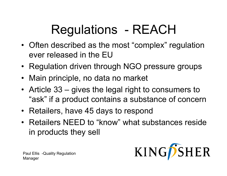# Regulations - REACH

- Often described as the most "complex" regulation ever released in the  $\mathsf{EU}$
- Regulation driven through NGO pressure groups
- Main principle, no data no market
- Article 33 gives the legal right to consumers to "ask" if a product contains a substance of concern
- Retailers, have 45 days to respond
- Retailers NEED to "know" what substances reside in products they sell

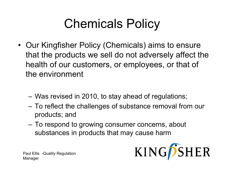# Chemicals Policy

- Our Kingfisher Policy (Chemicals) aims to ensure that the products we sell do not adversely affect the health of our customers, or employees, or that of the environment
	- and the state of the – Was revised in 2010, to stay ahead of regulations;
	- – To reflect the challenges of substance removal from our products; and
	- – To respond to growing consumer concerns, about substances in products that may cause harm

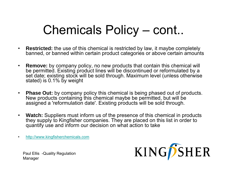#### Chemicals Policy  $-$  cont..

- $\bullet$  **Restricted:** the use of this chemical is restricted by law, it maybe completely banned, or banned within certain product categories or above certain amounts
- $\bullet$  **Remove:** by company policy, no new products that contain this chemical will be permitted. Existing product lines will be discontinued or reformulated by a set date; existing stock will be sold through. Maximum level (unless otherwise stated) is 0.1% by weight
- • **Phase Out:** by company policy this chemical is being phased out of products. New products containing this chemical maybe be permitted, but will be assigned a 'reformulation date'. Existing products will be sold through.
- • **Watch:** Suppliers must inform us of the presence of this chemical in products they supply to Kingfisher companies. They are placed on this list in order to quantify use and inform our decision on what action to take
- •http://www.kingfisherchemicals.com

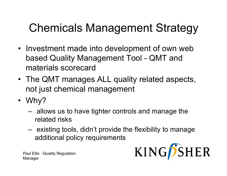### Chemicals Management Strategy

- Investment made into development of own web based Quality Management Tool - QMT and materials scorecard
- The QMT manages ALL quality related aspects, not just chemical management
- Why?
	- **Links of the Common**  allows us to have tighter controls and manage the related risks
	- **Links of the Common**  existing tools, didn't provide the flexibility to manage additional policy requirements

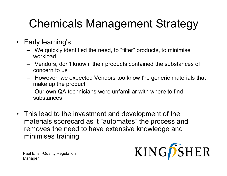#### Chemicals Management Strategy

- Early learning's
	- – We quickly identified the need, to "filter" products, to minimise workload
	- – Vendors, don't know if their products contained the substances of concern to us
	- –– However, we expected Vendors too know the generic materials that make up the product
	- Our own QA technicians were unfamiliar with where to find substances
- This lead to the investment and development of the materials scorecard as it "automates" the process and removes the need to have extensive knowledge and minimises training

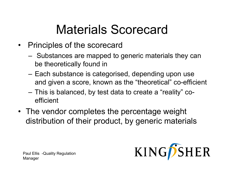### Materials Scorecard

- Principles of the scorecard
	- **Links of the Common** – Substances are mapped to generic materials they can be theoretically found in
	- Each substance is categorised, depending upon use and given a score, known as the "theoretical" co-efficient
	- **Links of the Common**  This is balanced, by test data to create a "reality" coefficient
- The vendor completes the percentage weight distribution of their product, by generic materials

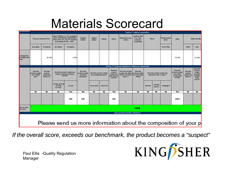#### Materials Scorecard

|                                                    | Section 1: material composition                                                                       |                                                |                                                                                                                                              |                                                                 |                                                        |                                                     |              |                                                                  |                                                                                                             |                                                             |                                                             |                        |                         |                                                                      |                                                           |                                                                          |  |                 |
|----------------------------------------------------|-------------------------------------------------------------------------------------------------------|------------------------------------------------|----------------------------------------------------------------------------------------------------------------------------------------------|-----------------------------------------------------------------|--------------------------------------------------------|-----------------------------------------------------|--------------|------------------------------------------------------------------|-------------------------------------------------------------------------------------------------------------|-------------------------------------------------------------|-------------------------------------------------------------|------------------------|-------------------------|----------------------------------------------------------------------|-----------------------------------------------------------|--------------------------------------------------------------------------|--|-----------------|
|                                                    | Polyvinyl chloride (PVC)                                                                              |                                                | Others Plastics: i.e.: PA, polyester,<br>nylon, polybutylene terephthalate<br>(PBT), ABS, PC, PE, PP, ethylene-<br>vinyl-acetate (EVA), SAN, |                                                                 | Synthetic<br>leather                                   | Natural<br>leather                                  | Rubber       | Silicon                                                          | Natural fibre (e.g.<br>cotton)                                                                              | Synthetic fibre<br>(e.g. nylon,<br>polyester,<br>polyamide) | <b>Wood</b>                                                 |                        | <b>ibers</b>            |                                                                      | Reinforcement                                             | Glass                                                                    |  | Metal and allow |
|                                                    | Hard plastic                                                                                          | Soft plastics                                  | Hard plastic                                                                                                                                 | Soft plastics                                                   |                                                        |                                                     |              |                                                                  |                                                                                                             |                                                             |                                                             | Carbon fiber           |                         |                                                                      | Metal                                                     | alloy                                                                    |  |                 |
| centage (VV)<br>al weight of the<br><b>I</b> lduct |                                                                                                       | 20.0%                                          |                                                                                                                                              | 3.0%                                                            |                                                        |                                                     |              |                                                                  |                                                                                                             |                                                             |                                                             |                        |                         | 10.0%                                                                |                                                           | 32.0%                                                                    |  |                 |
|                                                    |                                                                                                       |                                                |                                                                                                                                              |                                                                 |                                                        |                                                     |              |                                                                  | Section 2: Functional substance & Bectronic components                                                      |                                                             |                                                             |                        |                         |                                                                      |                                                           |                                                                          |  |                 |
|                                                    | Does the<br>product contain<br>anyhotmet<br>glue?                                                     | Doesthe<br>product<br>contain any<br>adhesive? |                                                                                                                                              | Does the product contain any<br>coating / painting / printing / | Does the<br>product contain<br>any fame<br>retardants? | Does the product contain<br>any insulating lacquer? |              | Doesthe<br>product<br>contain any<br>lubricating oil<br>/grease? | Does the product<br>contain any others product contain<br>mixture inside the lany solid pastel<br>article ? | <b>Doesthe</b><br>/ filling?                                | Does the product contain any<br>absorbent solid or liquid ? |                        |                         | Doesthe<br>product contain<br>any printed<br>circuit board<br>(PCB)? | Does the<br>product<br>∞ntain an≀<br>Batter <sub>V?</sub> | Doesthe<br>product<br>contain<br>anylight<br>emitting<br>diode<br>(LED)? |  |                 |
|                                                    |                                                                                                       |                                                | coating / painting<br>$/$ printing $/$<br>cobration                                                                                          | enamel                                                          |                                                        | epoxyresins.                                        | refractories |                                                                  |                                                                                                             |                                                             | Absorber                                                    | humidity.<br>indicator | drying agent            |                                                                      |                                                           |                                                                          |  |                 |
|                                                    | $\overline{\mathbf{b}}$                                                                               | $\overline{\mathbf{b}}$                        | <b>Nb</b>                                                                                                                                    | Yes                                                             | Yes                                                    | $b$                                                 | <b>Nb</b>    | Yes                                                              | $\overline{\mathbf{b}}$                                                                                     | $\overline{\bf b}$                                          | $\overline{\mathbf{b}}$                                     | <b>Nb</b>              | $\overline{\mathbf{b}}$ | Yes                                                                  | <b>Nb</b>                                                 | $\overline{\mathbf{b}}$                                                  |  |                 |
|                                                    |                                                                                                       |                                                |                                                                                                                                              | 10%                                                             | 2.0%                                                   |                                                     |              | 2.0%                                                             |                                                                                                             |                                                             |                                                             |                        |                         | 30.0%                                                                |                                                           |                                                                          |  |                 |
| tal product<br>$\sqrt{m}$ mm)                      |                                                                                                       |                                                |                                                                                                                                              |                                                                 |                                                        |                                                     |              |                                                                  |                                                                                                             | 100%                                                        |                                                             |                        |                         |                                                                      |                                                           |                                                                          |  |                 |
|                                                    |                                                                                                       |                                                |                                                                                                                                              |                                                                 |                                                        |                                                     |              |                                                                  |                                                                                                             |                                                             |                                                             |                        |                         |                                                                      |                                                           |                                                                          |  |                 |
|                                                    | <b>EVALUATION ON FINAL PRODUCT</b><br>Please send us more information about the composition of your p |                                                |                                                                                                                                              |                                                                 |                                                        |                                                     |              |                                                                  |                                                                                                             |                                                             |                                                             |                        |                         |                                                                      |                                                           |                                                                          |  |                 |

*If the overall score, exceeds our benchmark, the product becomes a "suspect"*

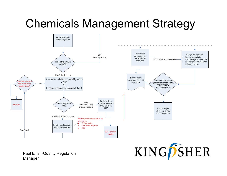#### Chemicals Management Strategy

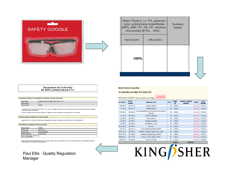



|              | Others Plastics: i.e: PA, polyester,<br>nylon, polybutylene terephthalate<br>(PBT), ABS, PC, PE, PP, ethylene-<br>vinyl-acetate (EVA), , SAN, | Synthetic<br>leather |  |
|--------------|-----------------------------------------------------------------------------------------------------------------------------------------------|----------------------|--|
| Hard plastic | Soft plastics                                                                                                                                 |                      |  |
| 100%         |                                                                                                                                               |                      |  |

#### **Declaration of Conformity** No SVHC present above 0.1%

| THE MANUFACTURER OF THE PRODUCTS COVERED BY THIS DECLARATION IS |                 |                                        |  |  |  |  |  |  |
|-----------------------------------------------------------------|-----------------|----------------------------------------|--|--|--|--|--|--|
|                                                                 | vendor name.    | JIANGSU SAINTY SUMEX TOOLS CORP., LTD. |  |  |  |  |  |  |
|                                                                 |                 |                                        |  |  |  |  |  |  |
|                                                                 | invoice country | China                                  |  |  |  |  |  |  |

I, JIANGSU SAINTY SUMEX TOOLS CORP., LTD. vendor to Kingfisher, declare that I have been made aware of the new European Reach regulation, I confirm the support documents were supplied by Kingfisher and that I understand the requirements from my business

#### THE REGULATION COVERED BY THIS DECLARATION

Regulation (EC) No 1907/2006, concerning the Registration, Evaluation, Authorization and Restriction of Chemicals (REACH)

THE PRODUCTS COVERED BY THIS DECLARATION

| Vendor number:                                                   | CPG05             |
|------------------------------------------------------------------|-------------------|
| Product code:                                                    | PC10013110        |
| Product name:                                                    | foc safety goggle |
| Reach classification:                                            | Simple Article    |
| Product names, types, variants, or<br>other unloue identifiers : |                   |

Herein declares the submitted sample does NOT contain neither SVHC from the official SVHC list nor any substance from the Kingfisher Chemicals<br>Policy above 0.1% by weight of the whole product

#### Paul Ellis -Quality Regulation Manager

#### **Detailed Chemical composition**

This product does not contain SVHC above 0.1%

**C** SUSPECTED Substances of Article > Total net product weight: 35.0 g

| Cas Number     | <b>EINECS</b><br><b>Number</b> | <b>Substance Name</b>                                         |    | Weight<br>$\left( 9\right)$ | Weight (% finished<br>product) | Policy  | Policy<br>deadline |
|----------------|--------------------------------|---------------------------------------------------------------|----|-----------------------------|--------------------------------|---------|--------------------|
| 109-86-4       | 203-713-7                      | 2-methoxyethanol                                              |    | 0.000 q                     |                                | Remove  | 23/12/11           |
| $79 - 01 - 6$  | 201-167-4                      | Trichloroethylene                                             |    | 0.000q                      |                                | Remove  | 02/11/12           |
| 7738-94-5      | 231-801-5                      | Acids generated from chromium trioxide and their<br>oligomers |    | 0.000a                      |                                | Remove  | 23/12/12           |
| $71 - 48 - 7$  | 200-755-8                      | Cobalt(II) diacetate                                          |    | 0.000q                      |                                | Remove  | 23/12/12           |
| $110 - 80 - 5$ | 203-804-1                      | 2-ethoxyethanol                                               |    | 0.000q                      |                                | Remove  | 23/12/12           |
| $84 - 69 - 5$  | $201 - 553 - 2$                | Diisobutyl phthalate                                          |    | 0.000q                      |                                | Remove  | 02/11/12           |
| $56 - 35 - 9$  | 200-268-0                      | Bis(tributyltin) oxide                                        |    | 0.000q                      |                                | Remove  | 02/11/12           |
| 11113-50-1     | 234-343-4                      | Boric acid                                                    |    | 0.000q                      |                                | Removel | 02/11/12           |
| $117 - 81 - 7$ | 204-211-0                      | bis(2-ethylhexyl)phthalate (DEHP)                             | No | 0.000q                      |                                | Remove  | 02/11/12           |
| 12267-73-1     | 235-541-3                      | Tetraboron disodium heptaoxide, hydrate                       | No | 0.000q                      |                                | Remove  | 02/11/12           |
| 25637-99-4     | 247-148-4                      | Hexabromocyclododecane (HBCDD)                                |    | 0.000q                      |                                | Remove  | 02/11/12           |
| 85535-84-8     | 287-476-5                      | Alkanes, C10-13, chloro (SCCPs)                               |    | 0.000q                      |                                | Remove  | 02/11/12           |
| 1333-82-0      | 215-607-8                      | chromium trioxide                                             |    | 0.000q                      |                                | Remove  | 23/12/11           |
|                |                                |                                                               |    | n nnn a                     | በ በበበ %                        |         |                    |

# KINGSSHER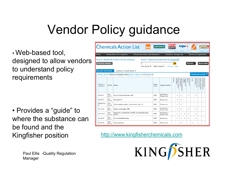# Vendor Policy guidance

 $\boldsymbol{\cdot}$  Web-based tool, designed to allow vendors to understand policy requirements

• Provides a "guide" to where the substance can be found and the Kingfisher position http://www.kingfisherchemicals.com

|                                                                                      | <b>Chemicals Action List</b>                           | <b>B&amp;Q</b>                                                               |                                       | castorama     | <b>BRICO</b><br>пирот                      |                |                                | <b>SCREWFIX</b>                                             |                          |                             |                               |                                | <b>IORNBACH</b><br>Es piùt immer was zu tun |                                    |  |
|--------------------------------------------------------------------------------------|--------------------------------------------------------|------------------------------------------------------------------------------|---------------------------------------|---------------|--------------------------------------------|----------------|--------------------------------|-------------------------------------------------------------|--------------------------|-----------------------------|-------------------------------|--------------------------------|---------------------------------------------|------------------------------------|--|
| Home                                                                                 |                                                        | <b>Instructions for suppliers</b>                                            | <b>Chemicals Action List database</b> |               | Database change log                        |                |                                |                                                             |                          |                             | <b>Chemicals legislation</b>  |                                |                                             |                                    |  |
| Search Chemicals Action list by keyword?<br>Search Chemicals Action List by category |                                                        |                                                                              |                                       |               |                                            |                |                                |                                                             |                          |                             |                               |                                |                                             |                                    |  |
| <b>Search by category</b>                                                            |                                                        |                                                                              | new search @                          |               | refine search $\bigcirc$<br>show all reset | G <sub>O</sub> |                                |                                                             |                          | Glossary                    |                               |                                |                                             | <b>Quick Guide</b>                 |  |
|                                                                                      | <b>Results of Search</b><br>number of results found: 8 |                                                                              |                                       |               |                                            |                |                                |                                                             |                          |                             |                               |                                |                                             |                                    |  |
|                                                                                      |                                                        | Search criteria: Phase out (Supplier action) Date of search: 13:37 14 Jun 11 |                                       |               |                                            |                |                                |                                                             |                          |                             | Download results <sup>目</sup> |                                |                                             |                                    |  |
| CAS No. /<br>Code No.                                                                | EC No.                                                 | <b>Name</b>                                                                  |                                       | Issue<br>Code | <b>Supplier Action</b>                     | Metals         | Plastics, rubbers<br>and foams | Coatings, adh<br>and sealants<br>adhesive<br>$\overline{a}$ | Textiles<br>leather<br>å | Carpets<br>flooring<br>pue: | boot!                         | electronics<br>Electricals and | and chemicals<br>Garden fertilise<br>긂      | Miscellaneous<br>chemical products |  |
| $85 - 68 - 7$                                                                        | $201 -$<br>$622 - 7$                                   | Benzyl butyl phthalate, BBP                                                  |                                       | CMR.          | Restricted /<br>Phase Out                  |                | x                              | x                                                           |                          | x                           |                               | x                              |                                             |                                    |  |
| $80 - 05 - 7$                                                                        | $201 -$<br>$245 - 8$                                   | Bisphenol A                                                                  |                                       | CMR.          | phase out                                  |                | x                              | x                                                           |                          |                             |                               |                                |                                             |                                    |  |
| 85535-84-<br>8.                                                                      | $287 -$<br>$476 - 5$                                   | Chlorinated parafins, short chain C10-13                                     |                                       | <b>CMR</b>    | Phase out                                  |                | x                              | x                                                           |                          |                             |                               |                                |                                             |                                    |  |
| $84 - 74 - 2$                                                                        | $201 -$<br>$557 - 4$                                   | Dibutyl phthalate, DBP                                                       |                                       | CMR           | Restricted /<br>Phase Out                  |                | x                              | x                                                           |                          | x                           |                               | X                              |                                             |                                    |  |
| $117 - 81 - 7$                                                                       | $204 -$<br>$211 - 0$                                   | Diethylhexyl phthalate (DEHP), Dioctyl phthalate<br>(DOP)                    |                                       | CMR           | Restricted /<br>Phase Out                  |                | x                              | x                                                           | ×                        | x                           |                               | x                              |                                             |                                    |  |
| $84 - 69 - 5$                                                                        | $201 -$<br>$553 - 2$                                   | Di-iso-butylphthalate                                                        |                                       | CMR           | phase out                                  |                | x                              | x                                                           | ×                        | x                           |                               | x                              |                                             |                                    |  |
| 50-00-0                                                                              | $200 -$<br>$001 - 8$                                   | Formaldehyde                                                                 |                                       | CMR           | Phase Out                                  |                |                                | x                                                           |                          |                             | x                             |                                |                                             |                                    |  |

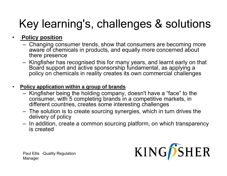#### $\bullet$ **Policy position**

- Changing consumer trends, show that consumers are becoming more aware of chemicals in products, and equally more concerned about there presence
- Kingfisher has recognised this for many years, and learnt early on that Board support and active sponsorship fundamental, as applying a policy on chemicals in reality creates its own commercial challenges

#### $\bullet$ **Policy application within a group of brands**

- Kingfisher being the holding company, doesn't have a "face" to the consumer, with 5 completing brands in a competitive markets, in different countries, creates some interesting challenges
- The solution is to create sourcing synergies, which in turn drives the delivery of policy
- $-$  In addition, create a common sourcing platform, on which transparency is created

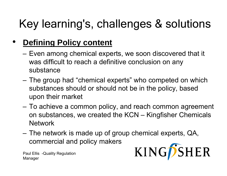#### $\bullet$ **Defining Policy content**

- – $-$  Even among chemical experts, we soon discovered that it was difficult to reach a definitive conclusion on any substance
- The group had "chemical experts" who competed on which substances should or should not be in the policy, based upon their market
- To achieve a common policy, and reach common agreement on substances, we created the KCN – Kingfisher Chemicals Network
- The network is made up of group chemical experts, QA, commercial and policy makers KINGPSHER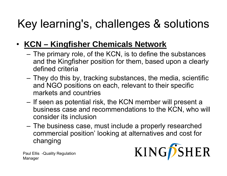#### $\bullet$ **KCN – Kingfisher Chemicals Network**

- – $-$  The primary role, of the KCN, is to define the substances and the Kingfisher position for them, based upon a clearly defined criteria
- $-$  They do this by, tracking substances, the media, scientific and NGO positions on each, relevant to their specific markets and countries
- – $-$  If seen as potential risk, the KCN member will present a business case and recommendations to the KCN, who will consider its inclusion
- – The business case, must include a properly researched commercial position' looking at alternatives and cost for changing

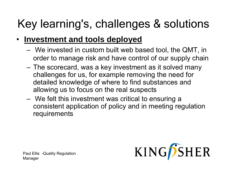#### $\bullet$ **Investment and tools deployed**

- – We invested in custom built web based tool, the QMT, in order to manage risk and have control of our supply chain
- – The scorecard, was a key investment as it solved many challenges for us, for example removing the need for detailed knowledge of where to find substances and allowing us to focus on the real suspects
- – $-$  We felt this investment was critical to ensuring a consistent application of policy and in meeting regulation requirements

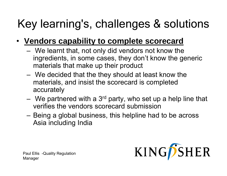- **Vendors capability to complete scorecard**
	- – We learnt that, not only did vendors not know the ingredients, in some cases, they don't know the generic materials that make up their product
	- We decided that the they should at least know the materials, and insist the scorecard is completed accurately
	- We partnered with a 3 $^{\mathsf{rd}}$  $-$  We partnered with a 3 $^{\text{rd}}$  party, who set up a help line that verifies the vendors scorecard submission
	- – Being a global business, this helpline had to be across Asia including India

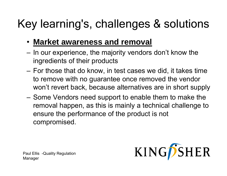- **Market awareness and removal**
- $-$  In our experience, the majority vendors don't know the ingredients of their products
- – For those that do know, in test cases we did, it takes time to remove with no guarantee once removed the vendor won't revert back, because alternatives are in short supply
- –– Some Vendors need support to enable them to make the removal happen, as this is mainly a technical challenge to ensure the performance of the product is not compromised.

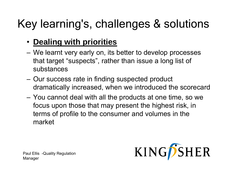#### • **Dealing with priorities**

- We learnt very early on, its better to develop processes that target "suspects", rather than issue a long list of substances
- Our success rate in finding suspected product dramatically increased, when we introduced the scorecard
- – You cannot deal with all the products at one time, so we we focus upon those that may present the highest risk, in terms of profile to the consumer and volumes in the market

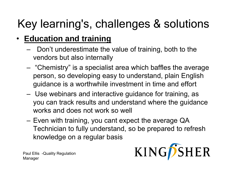#### •**Education and training**

- – Don't underestimate the value of training, both to the vendors but also internally
- – "Chemistry" is a specialist area which baffles the average person, so developing easy to understand, plain English guidance is a worthwhile investment in time and effort
- – Use webinars and interactive guidance for training, as you can track results and understand where the guidance works and does not work so well
- – $-$  Even with training, you cant expect the average QA  $\,$ Technician to fully understand, so be prepared to refresh knowledge on a regular basis

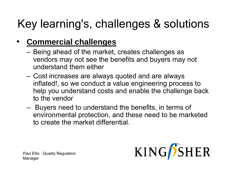#### •**Commercial challenges**

- Being ahead of the market, creates challenges as vendors may not see the benefits and buyers may not understand them either
- – $-$  Cost increases are always quoted and are always inflated!, so we conduct a value engineering process to help you understand costs and enable the challenge back to the vendor
- – Buyers need to understand the benefits, in terms of environmental protection, and these need to be marketed to create the market differential.

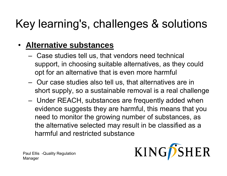#### •**Alternative substances**

- **Links of the Company**  $-$  Case studies tell us, that vendors need technical support, in choosing suitable alternatives, as they could opt for an alternative that is even more harmful
- **Links of the Company**  Our case studies also tell us, that alternatives are in short supply, so a sustainable removal is a real challenge
- Under REACH, substances are frequently added when evidence suggests they are harmful, this means that you need to monitor the growing number of substances, as the alternative selected may result in be classified as a harmful and restricted substance